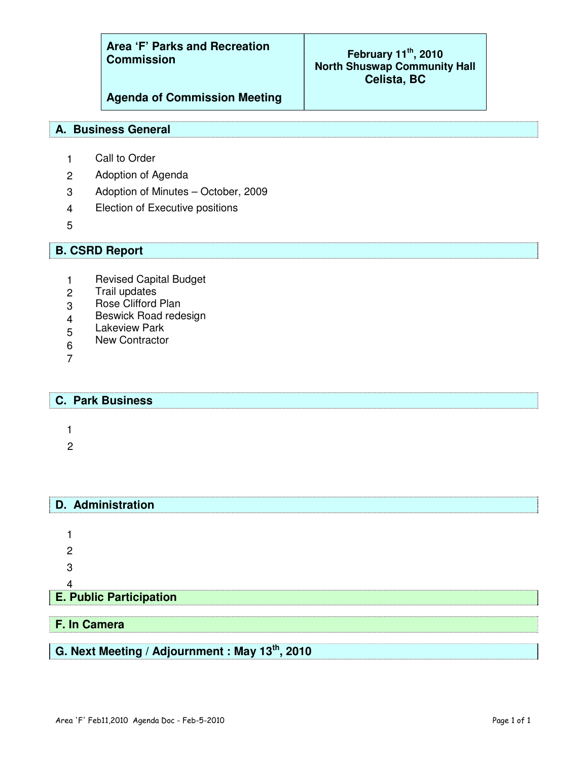**Area 'F' Parks and Recreation Commission**

### **February 11 th , 2010 North Shuswap Community Hall Celista, BC**

**Agenda of Commission Meeting**

#### **A. Business General**

- 1 Call to Order
- 2 Adoption of Agenda
- 3 Adoption of Minutes October, 2009
- 4 Election of Executive positions
- 5

## **B. CSRD Report**

- 1 Revised Capital Budget
- 2 Trail updates
- 3 Rose Clifford Plan
- 4 Beswick Road redesign
- 5 Lakeview Park
- 6 New Contractor
- 7

#### **C. Park Business**

**D. Administration**

1

2

# 1 2 3 4 **E. Public Participation F. In Camera G. Next Meeting / Adjournment : May 13 th , 2010**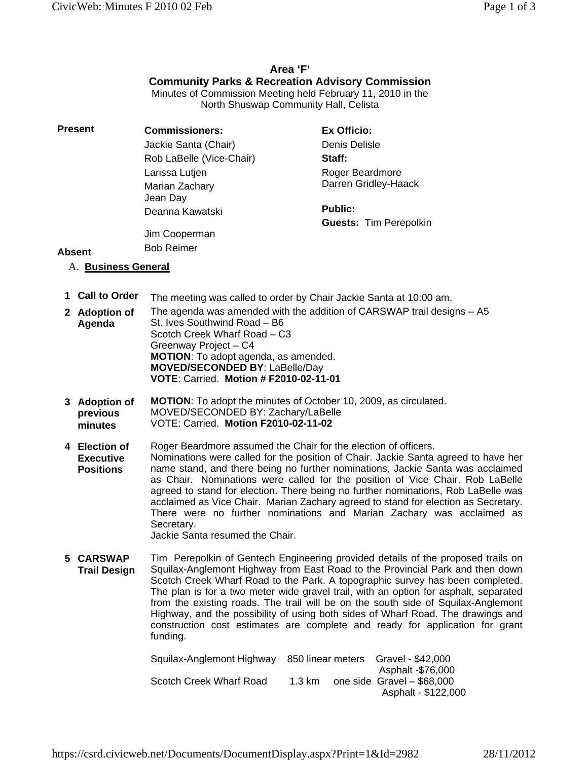#### **Area 'F' Community Parks & Recreation Advisory Commission** Minutes of Commission Meeting held February 11, 2010 in the

North Shuswap Community Hall, Celista

| Present | <b>Commissioners:</b>                                   | Ex Officio:                   |  |
|---------|---------------------------------------------------------|-------------------------------|--|
|         | Jackie Santa (Chair)                                    | Denis Delisle                 |  |
|         | Rob LaBelle (Vice-Chair)                                | Staff:                        |  |
|         | Larissa Lutjen                                          | Roger Beardmore               |  |
|         | Marian Zachary<br>Jean Day                              | Darren Gridley-Haack          |  |
|         | Deanna Kawatski                                         | <b>Public:</b>                |  |
|         |                                                         | <b>Guests: Tim Perepolkin</b> |  |
|         | $\mathbf{R}$ and $\mathbf{R}$ are a set of $\mathbf{R}$ |                               |  |

Jim Cooperman

#### Bob Reimer

funding.

## A. **Business General**

**Absent**

- **1 Call to Order** The meeting was called to order by Chair Jackie Santa at 10:00 am.
- **2 Adoption of Agenda** The agenda was amended with the addition of CARSWAP trail designs – A5 St. Ives Southwind Road – B6 Scotch Creek Wharf Road – C3 Greenway Project – C4 **MOTION**: To adopt agenda, as amended. **MOVED/SECONDED BY**: LaBelle/Day **VOTE**: Carried. **Motion # F2010-02-11-01**
- **3 Adoption of previous minutes MOTION**: To adopt the minutes of October 10, 2009, as circulated. MOVED/SECONDED BY: Zachary/LaBelle VOTE: Carried. **Motion F2010-02-11-02**
- **4 Election of Executive Positions** Roger Beardmore assumed the Chair for the election of officers. Nominations were called for the position of Chair. Jackie Santa agreed to have her name stand, and there being no further nominations, Jackie Santa was acclaimed as Chair. Nominations were called for the position of Vice Chair. Rob LaBelle agreed to stand for election. There being no further nominations, Rob LaBelle was acclaimed as Vice Chair. Marian Zachary agreed to stand for election as Secretary. There were no further nominations and Marian Zachary was acclaimed as Secretary. Jackie Santa resumed the Chair.

**5 CARSWAP Trail Design** Tim Perepolkin of Gentech Engineering provided details of the proposed trails on Squilax-Anglemont Highway from East Road to the Provincial Park and then down Scotch Creek Wharf Road to the Park. A topographic survey has been completed. The plan is for a two meter wide gravel trail, with an option for asphalt, separated from the existing roads. The trail will be on the south side of Squilax-Anglemont Highway, and the possibility of using both sides of Wharf Road. The drawings and

> Squilax-Anglemont Highway 850 linear meters Gravel - \$42,000 Asphalt -\$76,000 Scotch Creek Wharf Road 1.3 km one side Gravel – \$68,000 Asphalt - \$122,000

construction cost estimates are complete and ready for application for grant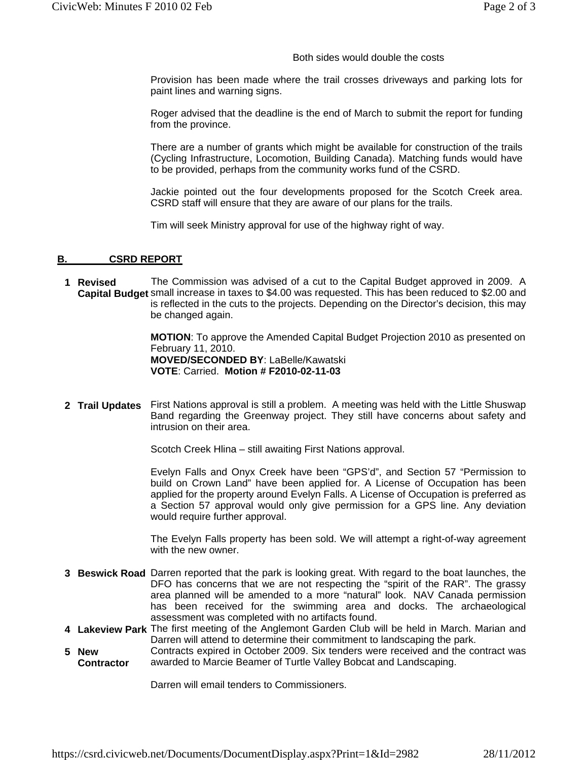Both sides would double the costs

Provision has been made where the trail crosses driveways and parking lots for paint lines and warning signs.

Roger advised that the deadline is the end of March to submit the report for funding from the province.

There are a number of grants which might be available for construction of the trails (Cycling Infrastructure, Locomotion, Building Canada). Matching funds would have to be provided, perhaps from the community works fund of the CSRD.

Jackie pointed out the four developments proposed for the Scotch Creek area. CSRD staff will ensure that they are aware of our plans for the trails.

Tim will seek Ministry approval for use of the highway right of way.

#### **B. CSRD REPORT**

**1 Revised Capital Budget**  small increase in taxes to \$4.00 was requested. This has been reduced to \$2.00 and The Commission was advised of a cut to the Capital Budget approved in 2009. A is reflected in the cuts to the projects. Depending on the Director's decision, this may be changed again.

> **MOTION**: To approve the Amended Capital Budget Projection 2010 as presented on February 11, 2010. **MOVED/SECONDED BY**: LaBelle/Kawatski **VOTE**: Carried. **Motion # F2010-02-11-03**

**2 Trail Updates** First Nations approval is still a problem. A meeting was held with the Little Shuswap Band regarding the Greenway project. They still have concerns about safety and intrusion on their area.

Scotch Creek Hlina – still awaiting First Nations approval.

Evelyn Falls and Onyx Creek have been "GPS'd", and Section 57 "Permission to build on Crown Land" have been applied for. A License of Occupation has been applied for the property around Evelyn Falls. A License of Occupation is preferred as a Section 57 approval would only give permission for a GPS line. Any deviation would require further approval.

The Evelyn Falls property has been sold. We will attempt a right-of-way agreement with the new owner.

- **3 Beswick Road** Darren reported that the park is looking great. With regard to the boat launches, the DFO has concerns that we are not respecting the "spirit of the RAR". The grassy area planned will be amended to a more "natural" look. NAV Canada permission has been received for the swimming area and docks. The archaeological assessment was completed with no artifacts found.
- **4 Lakeview Park** The first meeting of the Anglemont Garden Club will be held in March. Marian and Darren will attend to determine their commitment to landscaping the park.
- **5 New Contractor** Contracts expired in October 2009. Six tenders were received and the contract was awarded to Marcie Beamer of Turtle Valley Bobcat and Landscaping.

Darren will email tenders to Commissioners.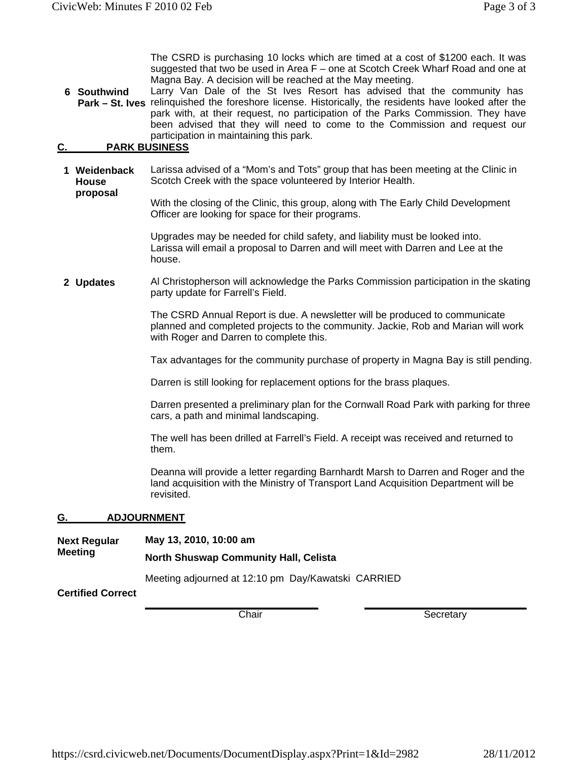The CSRD is purchasing 10 locks which are timed at a cost of \$1200 each. It was suggested that two be used in Area F – one at Scotch Creek Wharf Road and one at Magna Bay. A decision will be reached at the May meeting.

**6 Southwind**  Park - St. Ives relinquished the foreshore license. Historically, the residents have looked after the Larry Van Dale of the St Ives Resort has advised that the community has park with, at their request, no participation of the Parks Commission. They have been advised that they will need to come to the Commission and request our participation in maintaining this park.

#### **C. PARK BUSINESS**

**proposal**

**1 Weidenback House**  Larissa advised of a "Mom's and Tots" group that has been meeting at the Clinic in Scotch Creek with the space volunteered by Interior Health.

> With the closing of the Clinic, this group, along with The Early Child Development Officer are looking for space for their programs.

Upgrades may be needed for child safety, and liability must be looked into. Larissa will email a proposal to Darren and will meet with Darren and Lee at the house.

**2 Updates** Al Christopherson will acknowledge the Parks Commission participation in the skating party update for Farrell's Field.

> The CSRD Annual Report is due. A newsletter will be produced to communicate planned and completed projects to the community. Jackie, Rob and Marian will work with Roger and Darren to complete this.

Tax advantages for the community purchase of property in Magna Bay is still pending.

Darren is still looking for replacement options for the brass plaques.

Darren presented a preliminary plan for the Cornwall Road Park with parking for three cars, a path and minimal landscaping.

The well has been drilled at Farrell's Field. A receipt was received and returned to them.

Deanna will provide a letter regarding Barnhardt Marsh to Darren and Roger and the land acquisition with the Ministry of Transport Land Acquisition Department will be revisited.

#### **G. ADJOURNMENT**

| Next Regular             | May 13, 2010, 10:00 am<br><b>North Shuswap Community Hall, Celista</b> |  |  |
|--------------------------|------------------------------------------------------------------------|--|--|
| Meeting                  |                                                                        |  |  |
|                          | Meeting adjourned at 12:10 pm Day/Kawatski CARRIED                     |  |  |
| <b>Certified Correct</b> |                                                                        |  |  |

**\_\_\_\_\_\_\_\_\_\_\_\_\_\_\_\_\_\_\_\_\_\_\_\_\_\_\_\_\_\_\_**

**Certified Correct**

Chair

**\_\_\_\_\_\_\_\_\_\_\_\_\_\_\_\_\_\_\_\_\_\_\_\_\_\_\_\_\_** Secretary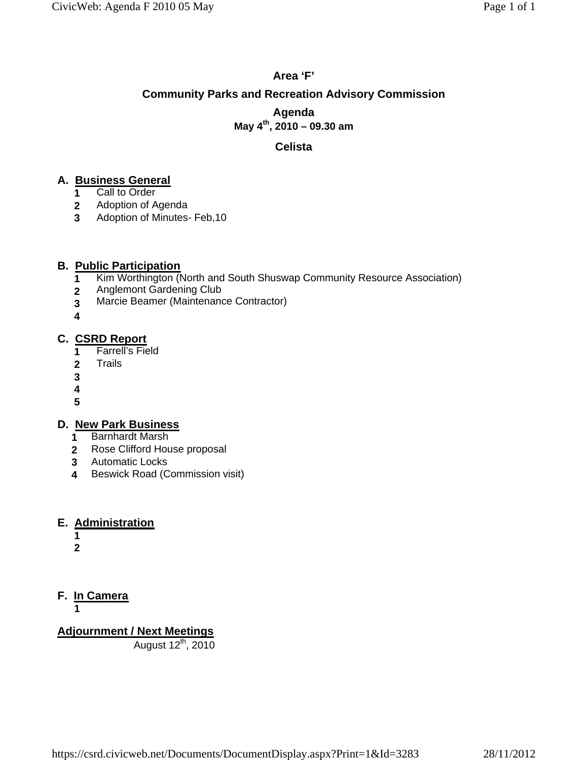## **Area 'F' Community Parks and Recreation Advisory Commission Agenda May 4th, 2010 – 09.30 am**

#### **Celista**

#### **A. Business General**

- **1** Call to Order
- **2** Adoption of Agenda
- **3** Adoption of Minutes- Feb,10

#### **B. Public Participation**

- **1** Kim Worthington (North and South Shuswap Community Resource Association)
- **2** Anglemont Gardening Club
- **3** Marcie Beamer (Maintenance Contractor)
- **4**

#### **C. CSRD Report**

- **1** Farrell's Field
- **2** Trails
- **3**
- **4**
- **5**

#### **D. New Park Business**

- **1** Barnhardt Marsh
- **2** Rose Clifford House proposal
- **3** Automatic Locks
- **4** Beswick Road (Commission visit)

#### **E. Administration**

- **1**
- **2**

## **F. In Camera**

**1**

**Adjournment / Next Meetings**

August 12<sup>th</sup>, 2010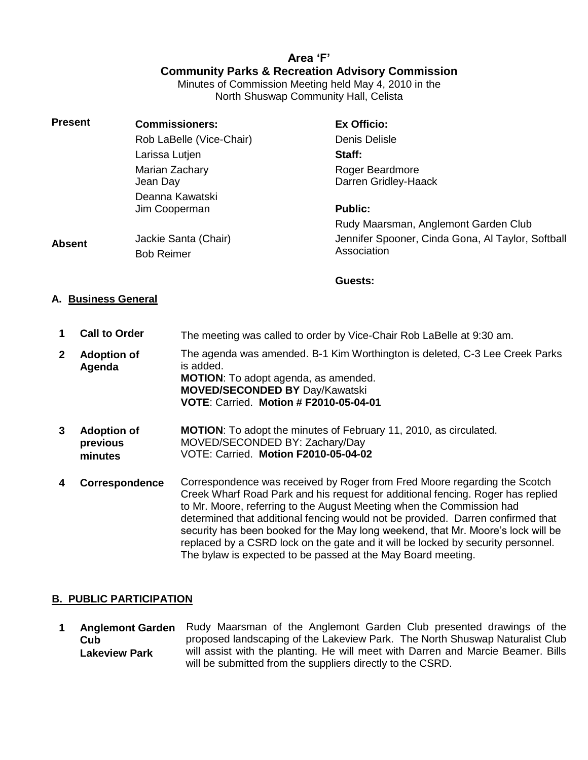## **Area 'F' Community Parks & Recreation Advisory Commission**

Minutes of Commission Meeting held May 4, 2010 in the North Shuswap Community Hall, Celista

| <b>Present</b> | <b>Commissioners:</b>                     | Ex Officio:                                                      |
|----------------|-------------------------------------------|------------------------------------------------------------------|
|                | Rob LaBelle (Vice-Chair)                  | Denis Delisle                                                    |
|                | Larissa Lutjen                            | Staff:                                                           |
|                | Marian Zachary<br>Jean Day                | Roger Beardmore<br>Darren Gridley-Haack                          |
|                | Deanna Kawatski<br>Jim Cooperman          | <b>Public:</b>                                                   |
|                |                                           | Rudy Maarsman, Anglemont Garden Club                             |
| <b>Absent</b>  | Jackie Santa (Chair)<br><b>Bob Reimer</b> | Jennifer Spooner, Cinda Gona, Al Taylor, Softball<br>Association |

**Guests:** 

#### **A. Business General**

- **1 Call to Order** The meeting was called to order by Vice-Chair Rob LaBelle at 9:30 am.
- **2 Adoption of Agenda** The agenda was amended. B-1 Kim Worthington is deleted, C-3 Lee Creek Parks is added. **MOTION**: To adopt agenda, as amended. **MOVED/SECONDED BY** Day/Kawatski **VOTE**: Carried. **Motion # F2010-05-04-01**
- **3 Adoption of previous minutes MOTION**: To adopt the minutes of February 11, 2010, as circulated. MOVED/SECONDED BY: Zachary/Day VOTE: Carried. **Motion F2010-05-04-02**
- **4 Correspondence** Correspondence was received by Roger from Fred Moore regarding the Scotch Creek Wharf Road Park and his request for additional fencing. Roger has replied to Mr. Moore, referring to the August Meeting when the Commission had determined that additional fencing would not be provided. Darren confirmed that security has been booked for the May long weekend, that Mr. Moore's lock will be replaced by a CSRD lock on the gate and it will be locked by security personnel. The bylaw is expected to be passed at the May Board meeting.

#### **B. PUBLIC PARTICIPATION**

**1 Anglemont Garden Cub Lakeview Park** Rudy Maarsman of the Anglemont Garden Club presented drawings of the proposed landscaping of the Lakeview Park. The North Shuswap Naturalist Club will assist with the planting. He will meet with Darren and Marcie Beamer. Bills will be submitted from the suppliers directly to the CSRD.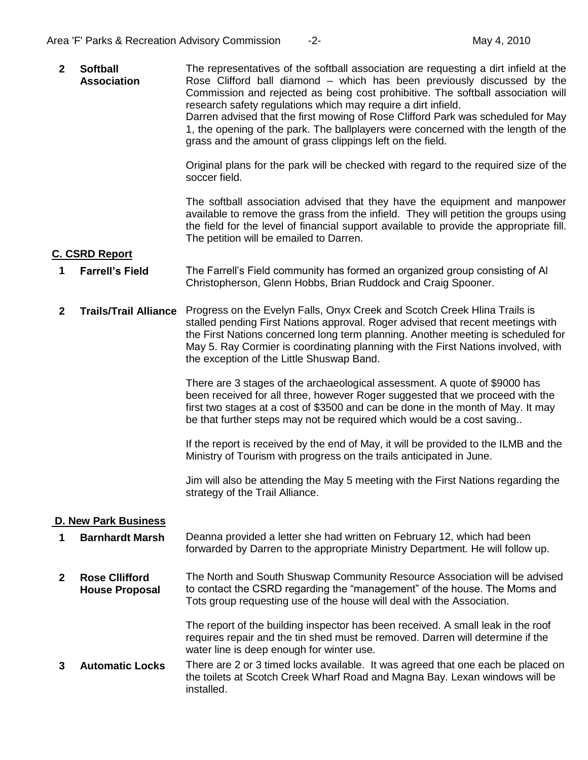**2 Softball Association** The representatives of the softball association are requesting a dirt infield at the Rose Clifford ball diamond – which has been previously discussed by the Commission and rejected as being cost prohibitive. The softball association will research safety regulations which may require a dirt infield. Darren advised that the first mowing of Rose Clifford Park was scheduled for May 1, the opening of the park. The ballplayers were concerned with the length of the grass and the amount of grass clippings left on the field.

> Original plans for the park will be checked with regard to the required size of the soccer field.

> The softball association advised that they have the equipment and manpower available to remove the grass from the infield. They will petition the groups using the field for the level of financial support available to provide the appropriate fill. The petition will be emailed to Darren.

#### **C. CSRD Report**

- **1 Farrell's Field** The Farrell's Field community has formed an organized group consisting of Al Christopherson, Glenn Hobbs, Brian Ruddock and Craig Spooner.
- **2 Trails/Trail Alliance** Progress on the Evelyn Falls, Onyx Creek and Scotch Creek Hlina Trails is stalled pending First Nations approval. Roger advised that recent meetings with the First Nations concerned long term planning. Another meeting is scheduled for May 5. Ray Cormier is coordinating planning with the First Nations involved, with the exception of the Little Shuswap Band.

There are 3 stages of the archaeological assessment. A quote of \$9000 has been received for all three, however Roger suggested that we proceed with the first two stages at a cost of \$3500 and can be done in the month of May. It may be that further steps may not be required which would be a cost saving..

If the report is received by the end of May, it will be provided to the ILMB and the Ministry of Tourism with progress on the trails anticipated in June.

Jim will also be attending the May 5 meeting with the First Nations regarding the strategy of the Trail Alliance.

#### **D. New Park Business**

- **1 Barnhardt Marsh** Deanna provided a letter she had written on February 12, which had been forwarded by Darren to the appropriate Ministry Department. He will follow up.
- **2 Rose Cllifford House Proposal** The North and South Shuswap Community Resource Association will be advised to contact the CSRD regarding the "management" of the house. The Moms and Tots group requesting use of the house will deal with the Association.

The report of the building inspector has been received. A small leak in the roof requires repair and the tin shed must be removed. Darren will determine if the water line is deep enough for winter use.

**3 Automatic Locks** There are 2 or 3 timed locks available. It was agreed that one each be placed on the toilets at Scotch Creek Wharf Road and Magna Bay. Lexan windows will be installed.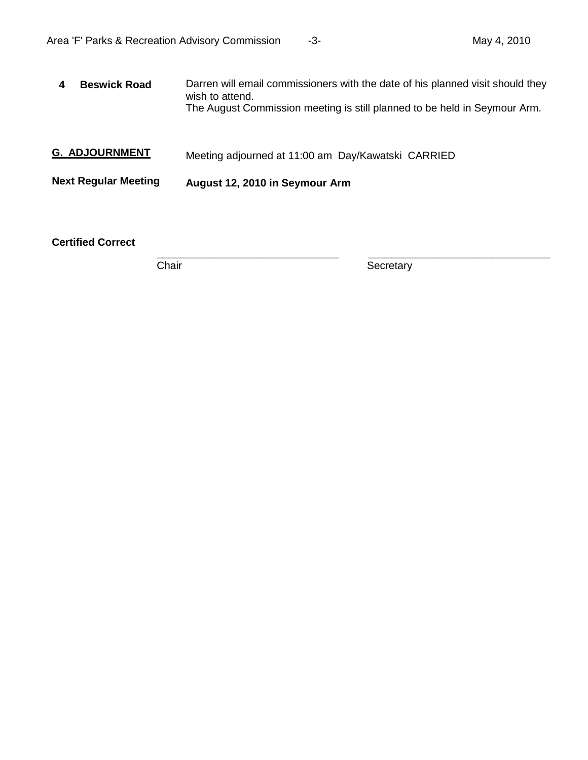| <b>Beswick Road</b>         | Darren will email commissioners with the date of his planned visit should they<br>wish to attend.<br>The August Commission meeting is still planned to be held in Seymour Arm. |  |
|-----------------------------|--------------------------------------------------------------------------------------------------------------------------------------------------------------------------------|--|
| <b>G. ADJOURNMENT</b>       | Meeting adjourned at 11:00 am Day/Kawatski CARRIED                                                                                                                             |  |
| <b>Next Regular Meeting</b> | August 12, 2010 in Seymour Arm                                                                                                                                                 |  |
|                             |                                                                                                                                                                                |  |

**Certified Correct**

**Chair Secretary** 

**\_\_\_\_\_\_\_\_\_\_\_\_\_\_\_\_\_\_\_\_\_\_\_\_\_\_\_\_\_\_\_ \_\_\_\_\_\_\_\_\_\_\_\_\_\_\_\_\_\_\_\_\_\_\_\_\_\_\_\_\_\_\_**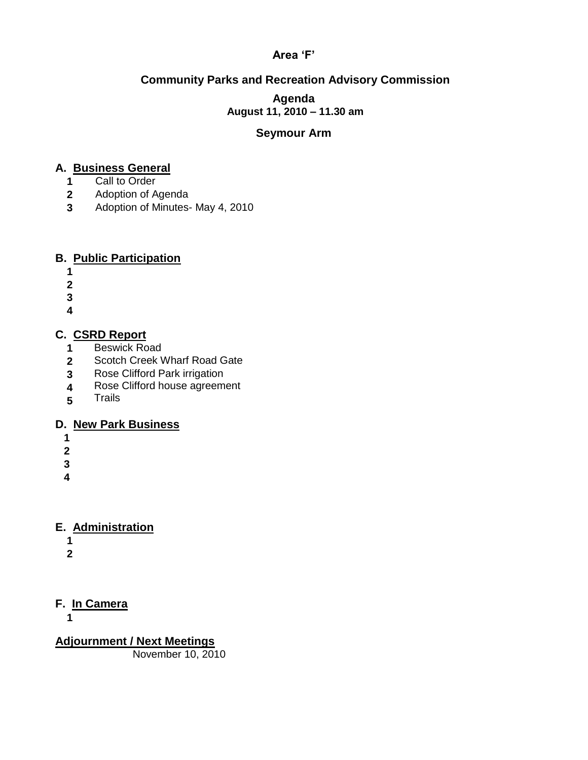## **Area 'F'**

## **Community Parks and Recreation Advisory Commission**

#### **Agenda August 11, 2010 – 11.30 am**

#### **Seymour Arm**

## **A. Business General**

- **1** Call to Order
- **2** Adoption of Agenda
- **3** Adoption of Minutes- May 4, 2010

## **B. Public Participation**

- **1**
- **2**
- **3**
- **4**
- 

## **C. CSRD Report**

- **1** Beswick Road
- **2** Scotch Creek Wharf Road Gate
- **3** Rose Clifford Park irrigation
- **4** Rose Clifford house agreement
- **5 Trails**

## **D. New Park Business**

- **1**
- **2**
- **3**
- 
- **4**

## **E. Administration**

- **1**
- **2**

## **F. In Camera**

**1**

**Adjournment / Next Meetings** November 10, 2010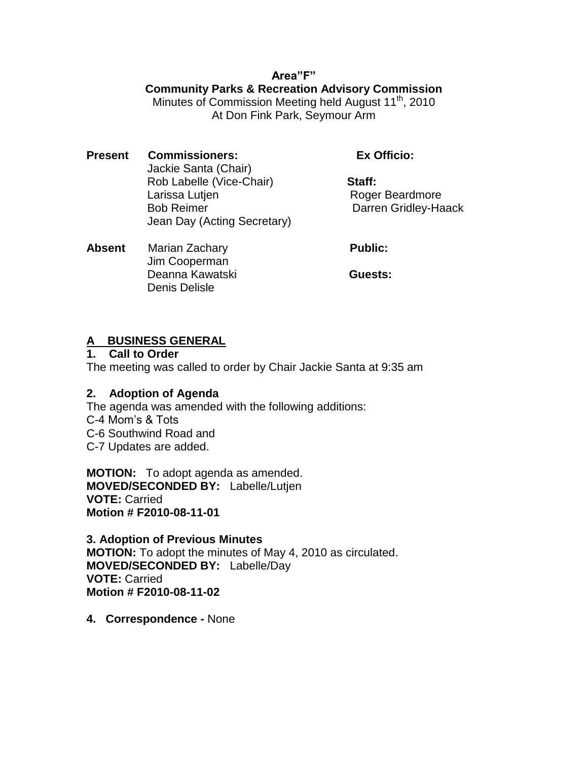## **Area"F"**

## **Community Parks & Recreation Advisory Commission**

Minutes of Commission Meeting held August 11<sup>th</sup>, 2010 At Don Fink Park, Seymour Arm

**Present Commissioners: Ex Officio:** Jackie Santa (Chair) Rob Labelle (Vice-Chair) **Staff:** Larissa Lutjen **Roger Beardmore** Bob Reimer **Darren Gridley-Haack** Jean Day (Acting Secretary)

**Absent** Marian Zachary **Public: Public:**  Jim Cooperman Deanna Kawatski **Guests:** Denis Delisle

## **A BUSINESS GENERAL**

**1. Call to Order**

The meeting was called to order by Chair Jackie Santa at 9:35 am

## **2. Adoption of Agenda**

The agenda was amended with the following additions: C-4 Mom's & Tots C-6 Southwind Road and C-7 Updates are added.

**MOTION:** To adopt agenda as amended. **MOVED/SECONDED BY:** Labelle/Lutjen **VOTE:** Carried **Motion # F2010-08-11-01**

**3. Adoption of Previous Minutes MOTION:** To adopt the minutes of May 4, 2010 as circulated. **MOVED/SECONDED BY:** Labelle/Day **VOTE:** Carried **Motion # F2010-08-11-02**

**4. Correspondence -** None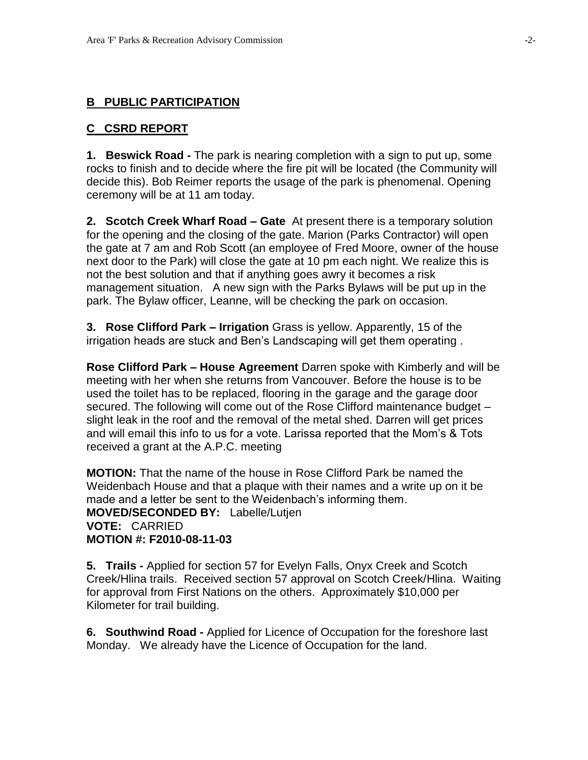## **B PUBLIC PARTICIPATION**

#### **C CSRD REPORT**

**1. Beswick Road -** The park is nearing completion with a sign to put up, some rocks to finish and to decide where the fire pit will be located (the Community will decide this). Bob Reimer reports the usage of the park is phenomenal. Opening ceremony will be at 11 am today.

**2. Scotch Creek Wharf Road – Gate** At present there is a temporary solution for the opening and the closing of the gate. Marion (Parks Contractor) will open the gate at 7 am and Rob Scott (an employee of Fred Moore, owner of the house next door to the Park) will close the gate at 10 pm each night. We realize this is not the best solution and that if anything goes awry it becomes a risk management situation. A new sign with the Parks Bylaws will be put up in the park. The Bylaw officer, Leanne, will be checking the park on occasion.

**3. Rose Clifford Park – Irrigation** Grass is yellow. Apparently, 15 of the irrigation heads are stuck and Ben's Landscaping will get them operating .

**Rose Clifford Park – House Agreement** Darren spoke with Kimberly and will be meeting with her when she returns from Vancouver. Before the house is to be used the toilet has to be replaced, flooring in the garage and the garage door secured. The following will come out of the Rose Clifford maintenance budget – slight leak in the roof and the removal of the metal shed. Darren will get prices and will email this info to us for a vote. Larissa reported that the Mom's & Tots received a grant at the A.P.C. meeting

**MOTION:** That the name of the house in Rose Clifford Park be named the Weidenbach House and that a plaque with their names and a write up on it be made and a letter be sent to the Weidenbach's informing them. **MOVED/SECONDED BY:** Labelle/Lutjen **VOTE:** CARRIED **MOTION #: F2010-08-11-03**

**5. Trails -** Applied for section 57 for Evelyn Falls, Onyx Creek and Scotch Creek/Hlina trails. Received section 57 approval on Scotch Creek/Hlina. Waiting for approval from First Nations on the others. Approximately \$10,000 per Kilometer for trail building.

**6. Southwind Road -** Applied for Licence of Occupation for the foreshore last Monday. We already have the Licence of Occupation for the land.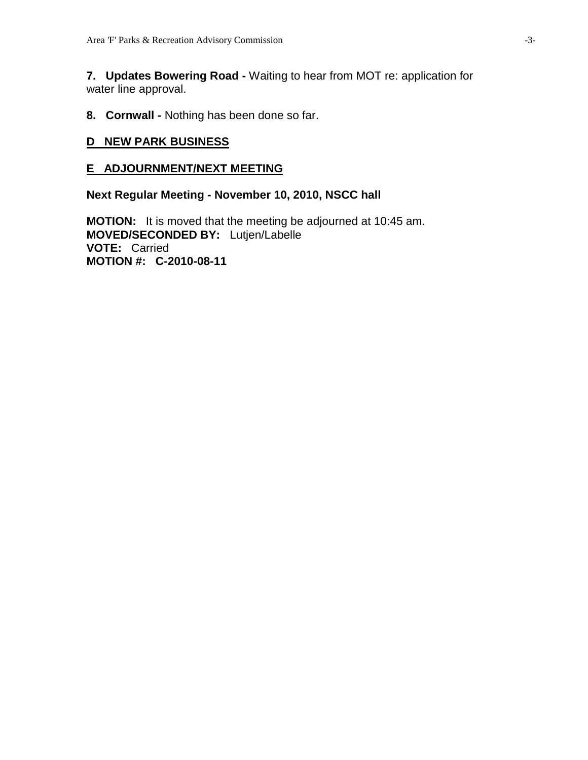**7. Updates Bowering Road -** Waiting to hear from MOT re: application for water line approval.

**8. Cornwall -** Nothing has been done so far.

#### **D NEW PARK BUSINESS**

#### **E ADJOURNMENT/NEXT MEETING**

**Next Regular Meeting - November 10, 2010, NSCC hall** 

**MOTION:** It is moved that the meeting be adjourned at 10:45 am. **MOVED/SECONDED BY:** Lutjen/Labelle **VOTE:** Carried **MOTION #: C-2010-08-11**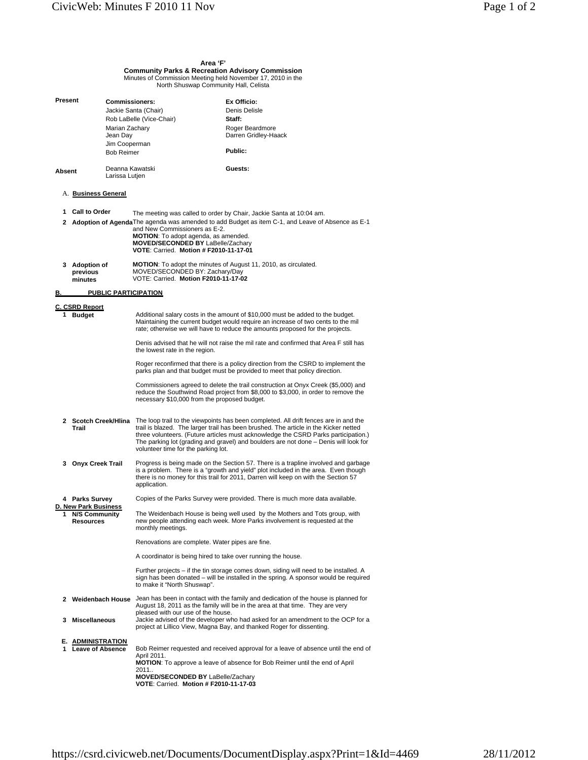## **Area 'F' Community Parks & Recreation Advisory Commission** Minutes of Commission Meeting held November 17, 2010 in the North Shuswap Community Hall, Celista

| Present                                        |                                                                                                                                                                                                                                                                                        | <b>Commissioners:</b><br>Marian Zachary<br>Jean Day<br>Jim Cooperman | Jackie Santa (Chair)<br>Rob LaBelle (Vice-Chair)                                                                                                                                                                                                                                                                                                | Ex Officio:<br>Denis Delisle<br>Staff:<br>Roger Beardmore<br>Darren Gridley-Haack                                                                                                                                                                                                                                                                                               |  |
|------------------------------------------------|----------------------------------------------------------------------------------------------------------------------------------------------------------------------------------------------------------------------------------------------------------------------------------------|----------------------------------------------------------------------|-------------------------------------------------------------------------------------------------------------------------------------------------------------------------------------------------------------------------------------------------------------------------------------------------------------------------------------------------|---------------------------------------------------------------------------------------------------------------------------------------------------------------------------------------------------------------------------------------------------------------------------------------------------------------------------------------------------------------------------------|--|
|                                                |                                                                                                                                                                                                                                                                                        | <b>Bob Reimer</b>                                                    |                                                                                                                                                                                                                                                                                                                                                 | Public:                                                                                                                                                                                                                                                                                                                                                                         |  |
| Absent                                         |                                                                                                                                                                                                                                                                                        | Deanna Kawatski<br>Larissa Lutjen                                    |                                                                                                                                                                                                                                                                                                                                                 | Guests:                                                                                                                                                                                                                                                                                                                                                                         |  |
|                                                | A. <b>Business General</b>                                                                                                                                                                                                                                                             |                                                                      |                                                                                                                                                                                                                                                                                                                                                 |                                                                                                                                                                                                                                                                                                                                                                                 |  |
|                                                | 1 Call to Order                                                                                                                                                                                                                                                                        |                                                                      | The meeting was called to order by Chair, Jackie Santa at 10:04 am.<br>2 Adoption of Agenda The agenda was amended to add Budget as item C-1, and Leave of Absence as E-1<br>and New Commissioners as E-2.<br><b>MOTION:</b> To adopt agenda, as amended.<br><b>MOVED/SECONDED BY LaBelle/Zachary</b><br>VOTE: Carried. Motion # F2010-11-17-01 |                                                                                                                                                                                                                                                                                                                                                                                 |  |
|                                                | 3 Adoption of<br>previous<br>minutes                                                                                                                                                                                                                                                   |                                                                      | MOVED/SECONDED BY: Zachary/Day<br>VOTE: Carried. Motion F2010-11-17-02                                                                                                                                                                                                                                                                          | <b>MOTION:</b> To adopt the minutes of August 11, 2010, as circulated.                                                                                                                                                                                                                                                                                                          |  |
| <u>B.</u>                                      |                                                                                                                                                                                                                                                                                        |                                                                      | <b>PUBLIC PARTICIPATION</b>                                                                                                                                                                                                                                                                                                                     |                                                                                                                                                                                                                                                                                                                                                                                 |  |
| 1.                                             | C. CSRD Report<br>Additional salary costs in the amount of \$10,000 must be added to the budget.<br><b>Budget</b><br>Maintaining the current budget would require an increase of two cents to the mil<br>rate; otherwise we will have to reduce the amounts proposed for the projects. |                                                                      |                                                                                                                                                                                                                                                                                                                                                 |                                                                                                                                                                                                                                                                                                                                                                                 |  |
|                                                |                                                                                                                                                                                                                                                                                        |                                                                      | the lowest rate in the region.                                                                                                                                                                                                                                                                                                                  | Denis advised that he will not raise the mil rate and confirmed that Area F still has                                                                                                                                                                                                                                                                                           |  |
|                                                |                                                                                                                                                                                                                                                                                        |                                                                      |                                                                                                                                                                                                                                                                                                                                                 | Roger reconfirmed that there is a policy direction from the CSRD to implement the<br>parks plan and that budget must be provided to meet that policy direction.                                                                                                                                                                                                                 |  |
|                                                |                                                                                                                                                                                                                                                                                        |                                                                      | necessary \$10,000 from the proposed budget.                                                                                                                                                                                                                                                                                                    | Commissioners agreed to delete the trail construction at Onyx Creek (\$5,000) and<br>reduce the Southwind Road project from \$8,000 to \$3,000, in order to remove the                                                                                                                                                                                                          |  |
|                                                | Trail                                                                                                                                                                                                                                                                                  |                                                                      | volunteer time for the parking lot.                                                                                                                                                                                                                                                                                                             | 2 Scotch Creek/Hlina The loop trail to the viewpoints has been completed. All drift fences are in and the<br>trail is blazed. The larger trail has been brushed. The article in the Kicker netted<br>three volunteers. (Future articles must acknowledge the CSRD Parks participation.)<br>The parking lot (grading and gravel) and boulders are not done - Denis will look for |  |
|                                                | 3 Onyx Creek Trail                                                                                                                                                                                                                                                                     |                                                                      | application.                                                                                                                                                                                                                                                                                                                                    | Progress is being made on the Section 57. There is a trapline involved and garbage<br>is a problem. There is a "growth and yield" plot included in the area. Even though<br>there is no money for this trail for 2011, Darren will keep on with the Section 57                                                                                                                  |  |
|                                                | 4 Parks Survey                                                                                                                                                                                                                                                                         |                                                                      |                                                                                                                                                                                                                                                                                                                                                 | Copies of the Parks Survey were provided. There is much more data available.                                                                                                                                                                                                                                                                                                    |  |
| <u>D. New Park Business</u><br>1 N/S Community | <b>Resources</b>                                                                                                                                                                                                                                                                       |                                                                      | monthly meetings.                                                                                                                                                                                                                                                                                                                               | The Weidenbach House is being well used by the Mothers and Tots group, with<br>new people attending each week. More Parks involvement is requested at the                                                                                                                                                                                                                       |  |
|                                                |                                                                                                                                                                                                                                                                                        |                                                                      | Renovations are complete. Water pipes are fine.                                                                                                                                                                                                                                                                                                 |                                                                                                                                                                                                                                                                                                                                                                                 |  |
|                                                |                                                                                                                                                                                                                                                                                        |                                                                      | A coordinator is being hired to take over running the house.                                                                                                                                                                                                                                                                                    |                                                                                                                                                                                                                                                                                                                                                                                 |  |
|                                                |                                                                                                                                                                                                                                                                                        |                                                                      | to make it "North Shuswap".                                                                                                                                                                                                                                                                                                                     | Further projects – if the tin storage comes down, siding will need to be installed. A<br>sign has been donated – will be installed in the spring. A sponsor would be required                                                                                                                                                                                                   |  |
|                                                |                                                                                                                                                                                                                                                                                        |                                                                      |                                                                                                                                                                                                                                                                                                                                                 | 2 Weidenbach House Jean has been in contact with the family and dedication of the house is planned for<br>August 18, 2011 as the family will be in the area at that time. They are very                                                                                                                                                                                         |  |
|                                                | 3 Miscellaneous                                                                                                                                                                                                                                                                        |                                                                      | pleased with our use of the house.<br>Jackie advised of the developer who had asked for an amendment to the OCP for a<br>project at Lillico View, Magna Bay, and thanked Roger for dissenting.                                                                                                                                                  |                                                                                                                                                                                                                                                                                                                                                                                 |  |
|                                                | E. ADMINISTRATION<br>1 Leave of Absence                                                                                                                                                                                                                                                |                                                                      | Bob Reimer requested and received approval for a leave of absence until the end of<br>April 2011.<br><b>MOTION:</b> To approve a leave of absence for Bob Reimer until the end of April<br>2011<br><b>MOVED/SECONDED BY LaBelle/Zachary</b><br>VOTE: Carried. Motion # F2010-11-17-03                                                           |                                                                                                                                                                                                                                                                                                                                                                                 |  |